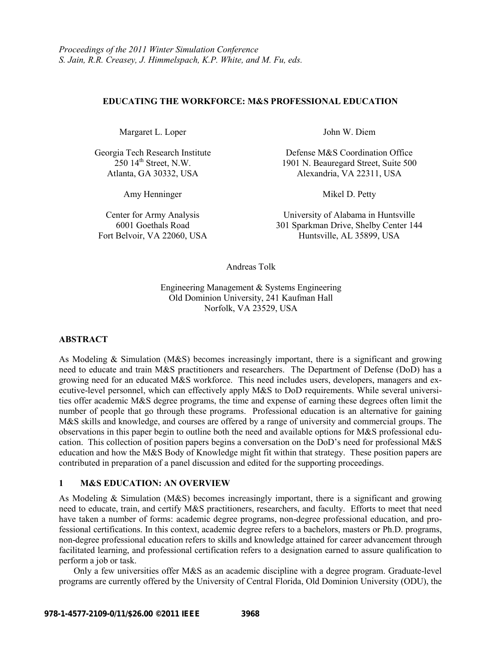### **EDUCATING THE WORKFORCE: M&S PROFESSIONAL EDUCATION**

Margaret L. Loper John W. Diem

Amy Henninger Mikel D. Petty

Georgia Tech Research Institute Defense M&S Coordination Office 250 14<sup>th</sup> Street, N.W. 1901 N. Beauregard Street, Suite 500 Atlanta, GA 30332, USA Alexandria, VA 22311, USA

Center for Army Analysis University of Alabama in Huntsville 6001 Goethals Road 301 Sparkman Drive, Shelby Center 144 Fort Belvoir, VA 22060, USA Huntsville, AL 35899, USA

Andreas Tolk

Engineering Management & Systems Engineering Old Dominion University, 241 Kaufman Hall Norfolk, VA 23529, USA

#### **ABSTRACT**

As Modeling & Simulation (M&S) becomes increasingly important, there is a significant and growing need to educate and train M&S practitioners and researchers. The Department of Defense (DoD) has a growing need for an educated M&S workforce. This need includes users, developers, managers and executive-level personnel, which can effectively apply M&S to DoD requirements. While several universities offer academic M&S degree programs, the time and expense of earning these degrees often limit the number of people that go through these programs. Professional education is an alternative for gaining M&S skills and knowledge, and courses are offered by a range of university and commercial groups. The observations in this paper begin to outline both the need and available options for M&S professional education. This collection of position papers begins a conversation on the DoD's need for professional M&S education and how the M&S Body of Knowledge might fit within that strategy. These position papers are contributed in preparation of a panel discussion and edited for the supporting proceedings.

### **1 M&S EDUCATION: AN OVERVIEW**

As Modeling & Simulation (M&S) becomes increasingly important, there is a significant and growing need to educate, train, and certify M&S practitioners, researchers, and faculty. Efforts to meet that need have taken a number of forms: academic degree programs, non-degree professional education, and professional certifications. In this context, academic degree refers to a bachelors, masters or Ph.D. programs, non-degree professional education refers to skills and knowledge attained for career advancement through facilitated learning, and professional certification refers to a designation earned to assure qualification to perform a job or task.

Only a few universities offer M&S as an academic discipline with a degree program. Graduate-level programs are currently offered by the University of Central Florida, Old Dominion University (ODU), the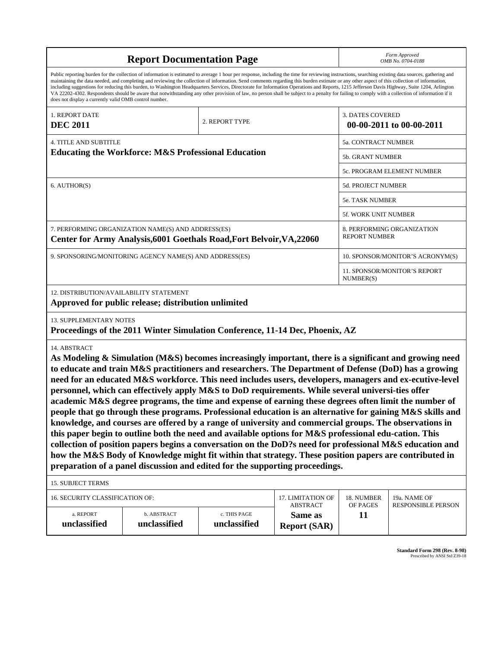| <b>Report Documentation Page</b>                                                                                                                                                                                                                                                                                                                                                                                                                                                                                                                                                                                                                                                                                                                                                                                                                                                                                                                                                                                                                                                                                                                                                                                            |                             |                              |                                                   | Form Approved<br>OMB No. 0704-0188                 |                           |
|-----------------------------------------------------------------------------------------------------------------------------------------------------------------------------------------------------------------------------------------------------------------------------------------------------------------------------------------------------------------------------------------------------------------------------------------------------------------------------------------------------------------------------------------------------------------------------------------------------------------------------------------------------------------------------------------------------------------------------------------------------------------------------------------------------------------------------------------------------------------------------------------------------------------------------------------------------------------------------------------------------------------------------------------------------------------------------------------------------------------------------------------------------------------------------------------------------------------------------|-----------------------------|------------------------------|---------------------------------------------------|----------------------------------------------------|---------------------------|
| Public reporting burden for the collection of information is estimated to average 1 hour per response, including the time for reviewing instructions, searching existing data sources, gathering and<br>maintaining the data needed, and completing and reviewing the collection of information. Send comments regarding this burden estimate or any other aspect of this collection of information,<br>including suggestions for reducing this burden, to Washington Headquarters Services, Directorate for Information Operations and Reports, 1215 Jefferson Davis Highway, Suite 1204, Arlington<br>VA 22202-4302. Respondents should be aware that notwithstanding any other provision of law, no person shall be subject to a penalty for failing to comply with a collection of information if it<br>does not display a currently valid OMB control number.                                                                                                                                                                                                                                                                                                                                                          |                             |                              |                                                   |                                                    |                           |
| 1. REPORT DATE<br><b>DEC 2011</b>                                                                                                                                                                                                                                                                                                                                                                                                                                                                                                                                                                                                                                                                                                                                                                                                                                                                                                                                                                                                                                                                                                                                                                                           |                             | 2. REPORT TYPE               |                                                   | 3. DATES COVERED                                   | 00-00-2011 to 00-00-2011  |
| <b>4. TITLE AND SUBTITLE</b>                                                                                                                                                                                                                                                                                                                                                                                                                                                                                                                                                                                                                                                                                                                                                                                                                                                                                                                                                                                                                                                                                                                                                                                                |                             | 5a. CONTRACT NUMBER          |                                                   |                                                    |                           |
| <b>Educating the Workforce: M&amp;S Professional Education</b>                                                                                                                                                                                                                                                                                                                                                                                                                                                                                                                                                                                                                                                                                                                                                                                                                                                                                                                                                                                                                                                                                                                                                              |                             | <b>5b. GRANT NUMBER</b>      |                                                   |                                                    |                           |
|                                                                                                                                                                                                                                                                                                                                                                                                                                                                                                                                                                                                                                                                                                                                                                                                                                                                                                                                                                                                                                                                                                                                                                                                                             |                             |                              |                                                   | 5c. PROGRAM ELEMENT NUMBER                         |                           |
| 6. AUTHOR(S)                                                                                                                                                                                                                                                                                                                                                                                                                                                                                                                                                                                                                                                                                                                                                                                                                                                                                                                                                                                                                                                                                                                                                                                                                |                             |                              |                                                   | 5d. PROJECT NUMBER                                 |                           |
|                                                                                                                                                                                                                                                                                                                                                                                                                                                                                                                                                                                                                                                                                                                                                                                                                                                                                                                                                                                                                                                                                                                                                                                                                             |                             |                              |                                                   | <b>5e. TASK NUMBER</b>                             |                           |
|                                                                                                                                                                                                                                                                                                                                                                                                                                                                                                                                                                                                                                                                                                                                                                                                                                                                                                                                                                                                                                                                                                                                                                                                                             |                             |                              |                                                   | <b>5f. WORK UNIT NUMBER</b>                        |                           |
| 7. PERFORMING ORGANIZATION NAME(S) AND ADDRESS(ES)<br>Center for Army Analysis, 6001 Goethals Road, Fort Belvoir, VA, 22060                                                                                                                                                                                                                                                                                                                                                                                                                                                                                                                                                                                                                                                                                                                                                                                                                                                                                                                                                                                                                                                                                                 |                             |                              |                                                   | 8. PERFORMING ORGANIZATION<br><b>REPORT NUMBER</b> |                           |
| 9. SPONSORING/MONITORING AGENCY NAME(S) AND ADDRESS(ES)                                                                                                                                                                                                                                                                                                                                                                                                                                                                                                                                                                                                                                                                                                                                                                                                                                                                                                                                                                                                                                                                                                                                                                     |                             |                              |                                                   | 10. SPONSOR/MONITOR'S ACRONYM(S)                   |                           |
|                                                                                                                                                                                                                                                                                                                                                                                                                                                                                                                                                                                                                                                                                                                                                                                                                                                                                                                                                                                                                                                                                                                                                                                                                             |                             |                              |                                                   | <b>11. SPONSOR/MONITOR'S REPORT</b><br>NUMBER(S)   |                           |
| 12. DISTRIBUTION/AVAILABILITY STATEMENT<br>Approved for public release; distribution unlimited                                                                                                                                                                                                                                                                                                                                                                                                                                                                                                                                                                                                                                                                                                                                                                                                                                                                                                                                                                                                                                                                                                                              |                             |                              |                                                   |                                                    |                           |
| <b>13. SUPPLEMENTARY NOTES</b><br>Proceedings of the 2011 Winter Simulation Conference, 11-14 Dec, Phoenix, AZ                                                                                                                                                                                                                                                                                                                                                                                                                                                                                                                                                                                                                                                                                                                                                                                                                                                                                                                                                                                                                                                                                                              |                             |                              |                                                   |                                                    |                           |
| 14. ABSTRACT<br>As Modeling & Simulation (M&S) becomes increasingly important, there is a significant and growing need<br>to educate and train M&S practitioners and researchers. The Department of Defense (DoD) has a growing<br>need for an educated M&S workforce. This need includes users, developers, managers and ex-ecutive-level<br>personnel, which can effectively apply M&S to DoD requirements. While several universi-ties offer<br>academic M&S degree programs, the time and expense of earning these degrees often limit the number of<br>people that go through these programs. Professional education is an alternative for gaining M&S skills and<br>knowledge, and courses are offered by a range of university and commercial groups. The observations in<br>this paper begin to outline both the need and available options for M&S professional edu-cation. This<br>collection of position papers begins a conversation on the DoD?s need for professional M&S education and<br>how the M&S Body of Knowledge might fit within that strategy. These position papers are contributed in<br>preparation of a panel discussion and edited for the supporting proceedings.<br><b>15. SUBJECT TERMS</b> |                             |                              |                                                   |                                                    |                           |
| 16. SECURITY CLASSIFICATION OF:<br>17. LIMITATION OF<br>18. NUMBER<br>19a. NAME OF                                                                                                                                                                                                                                                                                                                                                                                                                                                                                                                                                                                                                                                                                                                                                                                                                                                                                                                                                                                                                                                                                                                                          |                             |                              |                                                   |                                                    |                           |
| a. REPORT<br>unclassified                                                                                                                                                                                                                                                                                                                                                                                                                                                                                                                                                                                                                                                                                                                                                                                                                                                                                                                                                                                                                                                                                                                                                                                                   | b. ABSTRACT<br>unclassified | c. THIS PAGE<br>unclassified | <b>ABSTRACT</b><br>Same as<br><b>Report (SAR)</b> | OF PAGES<br>11                                     | <b>RESPONSIBLE PERSON</b> |

**Standard Form 298 (Rev. 8-98)**<br>Prescribed by ANSI Std Z39-18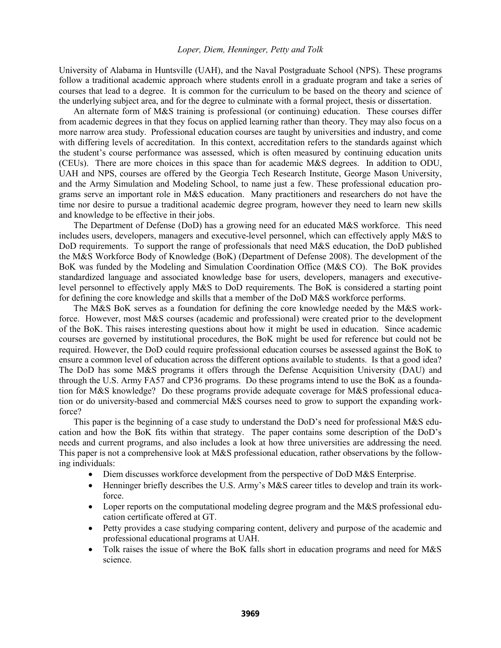University of Alabama in Huntsville (UAH), and the Naval Postgraduate School (NPS). These programs follow a traditional academic approach where students enroll in a graduate program and take a series of courses that lead to a degree. It is common for the curriculum to be based on the theory and science of the underlying subject area, and for the degree to culminate with a formal project, thesis or dissertation.

An alternate form of M&S training is professional (or continuing) education. These courses differ from academic degrees in that they focus on applied learning rather than theory. They may also focus on a more narrow area study. Professional education courses are taught by universities and industry, and come with differing levels of accreditation. In this context, accreditation refers to the standards against which the student's course performance was assessed, which is often measured by continuing education units (CEUs). There are more choices in this space than for academic M&S degrees. In addition to ODU, UAH and NPS, courses are offered by the Georgia Tech Research Institute, George Mason University, and the Army Simulation and Modeling School, to name just a few. These professional education programs serve an important role in M&S education. Many practitioners and researchers do not have the time nor desire to pursue a traditional academic degree program, however they need to learn new skills and knowledge to be effective in their jobs.

The Department of Defense (DoD) has a growing need for an educated M&S workforce. This need includes users, developers, managers and executive-level personnel, which can effectively apply M&S to DoD requirements. To support the range of professionals that need M&S education, the DoD published the M&S Workforce Body of Knowledge (BoK) (Department of Defense 2008). The development of the BoK was funded by the Modeling and Simulation Coordination Office (M&S CO). The BoK provides standardized language and associated knowledge base for users, developers, managers and executivelevel personnel to effectively apply M&S to DoD requirements. The BoK is considered a starting point for defining the core knowledge and skills that a member of the DoD M&S workforce performs.

The M&S BoK serves as a foundation for defining the core knowledge needed by the M&S workforce. However, most M&S courses (academic and professional) were created prior to the development of the BoK. This raises interesting questions about how it might be used in education. Since academic courses are governed by institutional procedures, the BoK might be used for reference but could not be required. However, the DoD could require professional education courses be assessed against the BoK to ensure a common level of education across the different options available to students. Is that a good idea? The DoD has some M&S programs it offers through the Defense Acquisition University (DAU) and through the U.S. Army FA57 and CP36 programs. Do these programs intend to use the BoK as a foundation for M&S knowledge? Do these programs provide adequate coverage for M&S professional education or do university-based and commercial M&S courses need to grow to support the expanding workforce?

This paper is the beginning of a case study to understand the DoD's need for professional M&S education and how the BoK fits within that strategy. The paper contains some description of the DoD's needs and current programs, and also includes a look at how three universities are addressing the need. This paper is not a comprehensive look at M&S professional education, rather observations by the following individuals:

- Diem discusses workforce development from the perspective of DoD M&S Enterprise.
- Henninger briefly describes the U.S. Army's M&S career titles to develop and train its workforce.
- Loper reports on the computational modeling degree program and the M&S professional education certificate offered at GT.
- Petty provides a case studying comparing content, delivery and purpose of the academic and professional educational programs at UAH.
- Tolk raises the issue of where the BoK falls short in education programs and need for M&S science.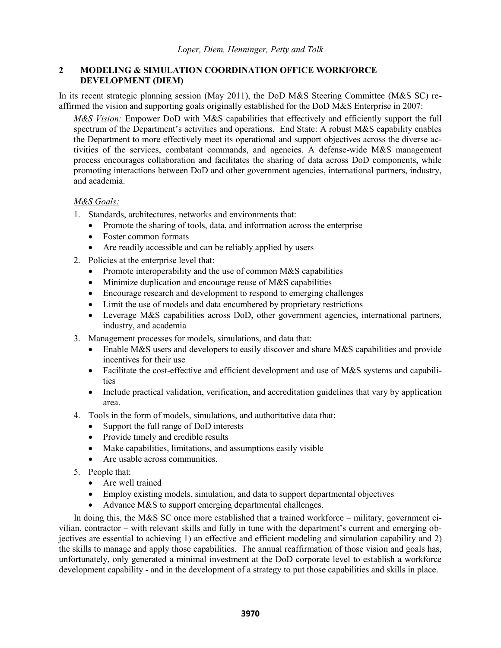# **2 MODELING & SIMULATION COORDINATION OFFICE WORKFORCE DEVELOPMENT (DIEM)**

In its recent strategic planning session (May 2011), the DoD M&S Steering Committee (M&S SC) reaffirmed the vision and supporting goals originally established for the DoD M&S Enterprise in 2007:

*M&S Vision:* Empower DoD with M&S capabilities that effectively and efficiently support the full spectrum of the Department's activities and operations. End State: A robust M&S capability enables the Department to more effectively meet its operational and support objectives across the diverse activities of the services, combatant commands, and agencies. A defense-wide M&S management process encourages collaboration and facilitates the sharing of data across DoD components, while promoting interactions between DoD and other government agencies, international partners, industry, and academia.

# *M&S Goals:*

- 1. Standards, architectures, networks and environments that:
	- Promote the sharing of tools, data, and information across the enterprise
	- Foster common formats
	- Are readily accessible and can be reliably applied by users
- 2. Policies at the enterprise level that:
	- Promote interoperability and the use of common M&S capabilities
	- Minimize duplication and encourage reuse of M&S capabilities
	- Encourage research and development to respond to emerging challenges
	- Limit the use of models and data encumbered by proprietary restrictions
	- Leverage M&S capabilities across DoD, other government agencies, international partners, industry, and academia
- 3. Management processes for models, simulations, and data that:
	- Enable M&S users and developers to easily discover and share M&S capabilities and provide incentives for their use
	- Facilitate the cost-effective and efficient development and use of M&S systems and capabilities
	- Include practical validation, verification, and accreditation guidelines that vary by application area.
- 4. Tools in the form of models, simulations, and authoritative data that:
	- Support the full range of DoD interests
	- Provide timely and credible results
	- Make capabilities, limitations, and assumptions easily visible
	- Are usable across communities.
- 5. People that:
	- Are well trained
	- Employ existing models, simulation, and data to support departmental objectives
	- Advance M&S to support emerging departmental challenges.

In doing this, the M&S SC once more established that a trained workforce – military, government civilian, contractor – with relevant skills and fully in tune with the department's current and emerging objectives are essential to achieving 1) an effective and efficient modeling and simulation capability and 2) the skills to manage and apply those capabilities. The annual reaffirmation of those vision and goals has, unfortunately, only generated a minimal investment at the DoD corporate level to establish a workforce development capability - and in the development of a strategy to put those capabilities and skills in place.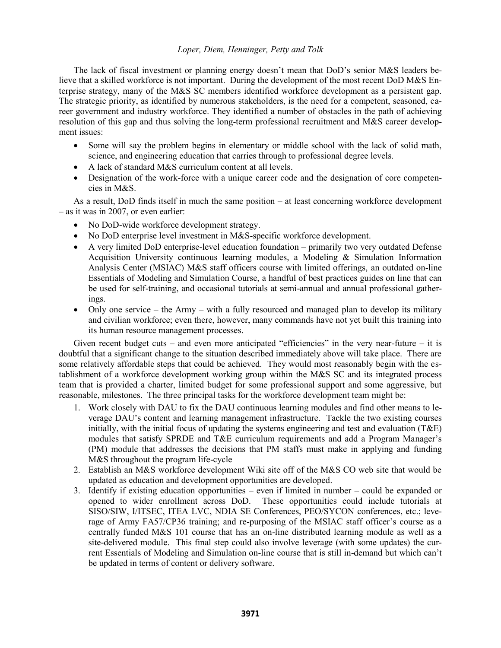The lack of fiscal investment or planning energy doesn't mean that DoD's senior M&S leaders believe that a skilled workforce is not important. During the development of the most recent DoD M&S Enterprise strategy, many of the M&S SC members identified workforce development as a persistent gap. The strategic priority, as identified by numerous stakeholders, is the need for a competent, seasoned, career government and industry workforce. They identified a number of obstacles in the path of achieving resolution of this gap and thus solving the long-term professional recruitment and M&S career development issues:

- Some will say the problem begins in elementary or middle school with the lack of solid math, science, and engineering education that carries through to professional degree levels.
- A lack of standard M&S curriculum content at all levels.
- Designation of the work-force with a unique career code and the designation of core competencies in M&S.

As a result, DoD finds itself in much the same position – at least concerning workforce development – as it was in 2007, or even earlier:

- No DoD-wide workforce development strategy.
- No DoD enterprise level investment in M&S-specific workforce development.
- A very limited DoD enterprise-level education foundation primarily two very outdated Defense Acquisition University continuous learning modules, a Modeling & Simulation Information Analysis Center (MSIAC) M&S staff officers course with limited offerings, an outdated on-line Essentials of Modeling and Simulation Course, a handful of best practices guides on line that can be used for self-training, and occasional tutorials at semi-annual and annual professional gatherings.
- Only one service the Army with a fully resourced and managed plan to develop its military and civilian workforce; even there, however, many commands have not yet built this training into its human resource management processes.

Given recent budget cuts – and even more anticipated "efficiencies" in the very near-future – it is doubtful that a significant change to the situation described immediately above will take place. There are some relatively affordable steps that could be achieved. They would most reasonably begin with the establishment of a workforce development working group within the M&S SC and its integrated process team that is provided a charter, limited budget for some professional support and some aggressive, but reasonable, milestones. The three principal tasks for the workforce development team might be:

- 1. Work closely with DAU to fix the DAU continuous learning modules and find other means to leverage DAU's content and learning management infrastructure. Tackle the two existing courses initially, with the initial focus of updating the systems engineering and test and evaluation ( $T\&E$ ) modules that satisfy SPRDE and T&E curriculum requirements and add a Program Manager's (PM) module that addresses the decisions that PM staffs must make in applying and funding M&S throughout the program life-cycle
- 2. Establish an M&S workforce development Wiki site off of the M&S CO web site that would be updated as education and development opportunities are developed.
- 3. Identify if existing education opportunities even if limited in number could be expanded or opened to wider enrollment across DoD. These opportunities could include tutorials at SISO/SIW, I/ITSEC, ITEA LVC, NDIA SE Conferences, PEO/SYCON conferences, etc.; leverage of Army FA57/CP36 training; and re-purposing of the MSIAC staff officer's course as a centrally funded M&S 101 course that has an on-line distributed learning module as well as a site-delivered module. This final step could also involve leverage (with some updates) the current Essentials of Modeling and Simulation on-line course that is still in-demand but which can't be updated in terms of content or delivery software.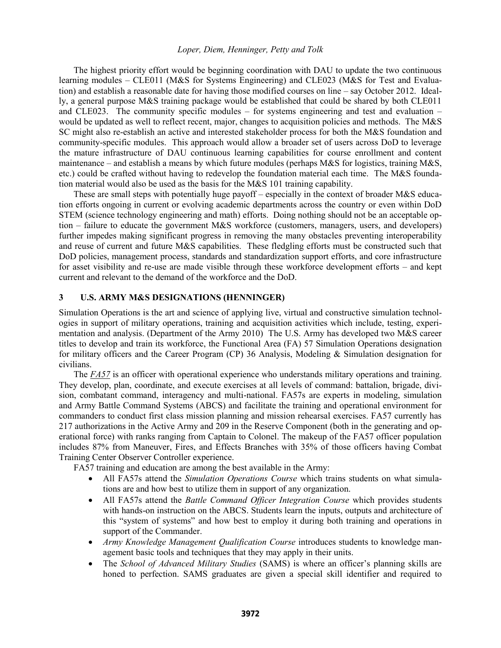The highest priority effort would be beginning coordination with DAU to update the two continuous learning modules – CLE011 (M&S for Systems Engineering) and CLE023 (M&S for Test and Evaluation) and establish a reasonable date for having those modified courses on line – say October 2012. Ideally, a general purpose M&S training package would be established that could be shared by both CLE011 and CLE023. The community specific modules – for systems engineering and test and evaluation – would be updated as well to reflect recent, major, changes to acquisition policies and methods. The M&S SC might also re-establish an active and interested stakeholder process for both the M&S foundation and community-specific modules. This approach would allow a broader set of users across DoD to leverage the mature infrastructure of DAU continuous learning capabilities for course enrollment and content maintenance – and establish a means by which future modules (perhaps M&S for logistics, training M&S, etc.) could be crafted without having to redevelop the foundation material each time. The M&S foundation material would also be used as the basis for the M&S 101 training capability.

These are small steps with potentially huge payoff – especially in the context of broader  $M&S$  education efforts ongoing in current or evolving academic departments across the country or even within DoD STEM (science technology engineering and math) efforts. Doing nothing should not be an acceptable option – failure to educate the government M&S workforce (customers, managers, users, and developers) further impedes making significant progress in removing the many obstacles preventing interoperability and reuse of current and future M&S capabilities. These fledgling efforts must be constructed such that DoD policies, management process, standards and standardization support efforts, and core infrastructure for asset visibility and re-use are made visible through these workforce development efforts – and kept current and relevant to the demand of the workforce and the DoD.

### **3 U.S. ARMY M&S DESIGNATIONS (HENNINGER)**

Simulation Operations is the art and science of applying live, virtual and constructive simulation technologies in support of military operations, training and acquisition activities which include, testing, experimentation and analysis. (Department of the Army 2010) The U.S. Army has developed two M&S career titles to develop and train its workforce, the Functional Area (FA) 57 Simulation Operations designation for military officers and the Career Program (CP) 36 Analysis, Modeling & Simulation designation for civilians.

The *FA57* is an officer with operational experience who understands military operations and training. They develop, plan, coordinate, and execute exercises at all levels of command: battalion, brigade, division, combatant command, interagency and multi-national. FA57s are experts in modeling, simulation and Army Battle Command Systems (ABCS) and facilitate the training and operational environment for commanders to conduct first class mission planning and mission rehearsal exercises. FA57 currently has 217 authorizations in the Active Army and 209 in the Reserve Component (both in the generating and operational force) with ranks ranging from Captain to Colonel. The makeup of the FA57 officer population includes 87% from Maneuver, Fires, and Effects Branches with 35% of those officers having Combat Training Center Observer Controller experience.

FA57 training and education are among the best available in the Army:

- All FA57s attend the *Simulation Operations Course* which trains students on what simulations are and how best to utilize them in support of any organization.
- All FA57s attend the *Battle Command Officer Integration Course* which provides students with hands-on instruction on the ABCS. Students learn the inputs, outputs and architecture of this "system of systems" and how best to employ it during both training and operations in support of the Commander.
- *Army Knowledge Management Qualification Course* introduces students to knowledge management basic tools and techniques that they may apply in their units.
- The *School of Advanced Military Studies* (SAMS) is where an officer's planning skills are honed to perfection. SAMS graduates are given a special skill identifier and required to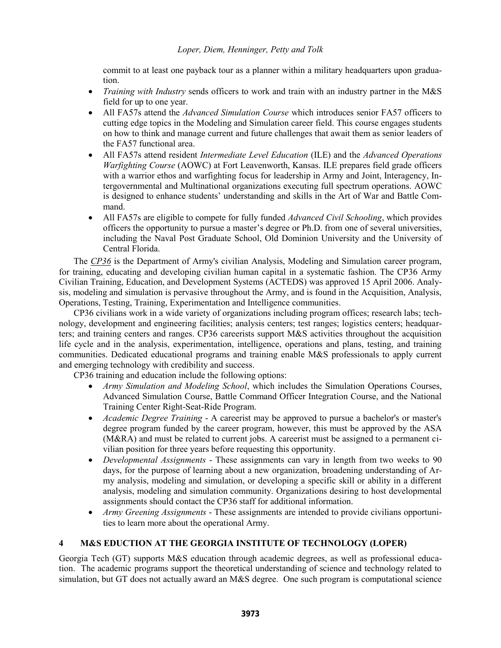commit to at least one payback tour as a planner within a military headquarters upon graduation.

- *Training with Industry* sends officers to work and train with an industry partner in the M&S field for up to one year.
- All FA57s attend the *Advanced Simulation Course* which introduces senior FA57 officers to cutting edge topics in the Modeling and Simulation career field. This course engages students on how to think and manage current and future challenges that await them as senior leaders of the FA57 functional area.
- All FA57s attend resident *Intermediate Level Education* (ILE) and the *Advanced Operations Warfighting Course* (AOWC) at Fort Leavenworth, Kansas. ILE prepares field grade officers with a warrior ethos and warfighting focus for leadership in Army and Joint, Interagency, Intergovernmental and Multinational organizations executing full spectrum operations. AOWC is designed to enhance students' understanding and skills in the Art of War and Battle Command.
- All FA57s are eligible to compete for fully funded *Advanced Civil Schooling*, which provides officers the opportunity to pursue a master's degree or Ph.D. from one of several universities, including the Naval Post Graduate School, Old Dominion University and the University of Central Florida.

The *CP36* is the Department of Army's civilian Analysis, Modeling and Simulation career program, for training, educating and developing civilian human capital in a systematic fashion. The CP36 Army Civilian Training, Education, and Development Systems (ACTEDS) was approved 15 April 2006. Analysis, modeling and simulation is pervasive throughout the Army, and is found in the Acquisition, Analysis, Operations, Testing, Training, Experimentation and Intelligence communities.

CP36 civilians work in a wide variety of organizations including program offices; research labs; technology, development and engineering facilities; analysis centers; test ranges; logistics centers; headquarters; and training centers and ranges. CP36 careerists support M&S activities throughout the acquisition life cycle and in the analysis, experimentation, intelligence, operations and plans, testing, and training communities. Dedicated educational programs and training enable M&S professionals to apply current and emerging technology with credibility and success.

CP36 training and education include the following options:

- *Army Simulation and Modeling School*, which includes the Simulation Operations Courses, Advanced Simulation Course, Battle Command Officer Integration Course, and the National Training Center Right-Seat-Ride Program.
- *Academic Degree Training* A careerist may be approved to pursue a bachelor's or master's degree program funded by the career program, however, this must be approved by the ASA (M&RA) and must be related to current jobs. A careerist must be assigned to a permanent civilian position for three years before requesting this opportunity.
- *Developmental Assignments* These assignments can vary in length from two weeks to 90 days, for the purpose of learning about a new organization, broadening understanding of Army analysis, modeling and simulation, or developing a specific skill or ability in a different analysis, modeling and simulation community. Organizations desiring to host developmental assignments should contact the CP36 staff for additional information.
- *Army Greening Assignments* These assignments are intended to provide civilians opportunities to learn more about the operational Army.

# **4 M&S EDUCTION AT THE GEORGIA INSTITUTE OF TECHNOLOGY (LOPER)**

Georgia Tech (GT) supports M&S education through academic degrees, as well as professional education. The academic programs support the theoretical understanding of science and technology related to simulation, but GT does not actually award an M&S degree. One such program is computational science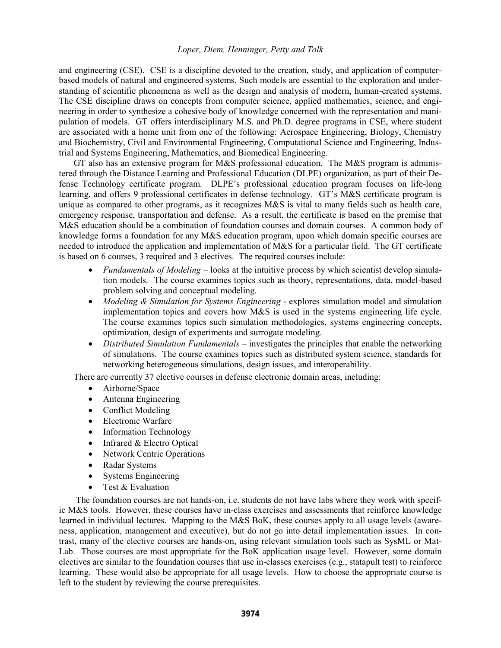and engineering (CSE). CSE is a discipline devoted to the creation, study, and application of computerbased models of natural and engineered systems. Such models are essential to the exploration and understanding of scientific phenomena as well as the design and analysis of modern, human-created systems. The CSE discipline draws on concepts from computer science, applied mathematics, science, and engineering in order to synthesize a cohesive body of knowledge concerned with the representation and manipulation of models. GT offers interdisciplinary M.S. and Ph.D. degree programs in CSE, where student are associated with a home unit from one of the following: Aerospace Engineering, Biology, Chemistry and Biochemistry, Civil and Environmental Engineering, Computational Science and Engineering, Industrial and Systems Engineering, Mathematics, and Biomedical Engineering.

GT also has an extensive program for M&S professional education. The M&S program is administered through the Distance Learning and Professional Education (DLPE) organization, as part of their Defense Technology certificate program. DLPE's professional education program focuses on life-long learning, and offers 9 professional certificates in defense technology. GT's M&S certificate program is unique as compared to other programs, as it recognizes M&S is vital to many fields such as health care, emergency response, transportation and defense. As a result, the certificate is based on the premise that M&S education should be a combination of foundation courses and domain courses. A common body of knowledge forms a foundation for any M&S education program, upon which domain specific courses are needed to introduce the application and implementation of M&S for a particular field. The GT certificate is based on 6 courses, 3 required and 3 electives. The required courses include:

- *Fundamentals of Modeling* looks at the intuitive process by which scientist develop simulation models. The course examines topics such as theory, representations, data, model-based problem solving and conceptual modeling.
- *Modeling & Simulation for Systems Engineering* explores simulation model and simulation implementation topics and covers how M&S is used in the systems engineering life cycle. The course examines topics such simulation methodologies, systems engineering concepts, optimization, design of experiments and surrogate modeling.
- *Distributed Simulation Fundamentals* investigates the principles that enable the networking of simulations. The course examines topics such as distributed system science, standards for networking heterogeneous simulations, design issues, and interoperability.

There are currently 37 elective courses in defense electronic domain areas, including:

- Airborne/Space
- Antenna Engineering
- Conflict Modeling
- Electronic Warfare
- Information Technology
- Infrared & Electro Optical
- Network Centric Operations
- Radar Systems
- Systems Engineering
- Test & Evaluation

The foundation courses are not hands-on, i.e. students do not have labs where they work with specific M&S tools. However, these courses have in-class exercises and assessments that reinforce knowledge learned in individual lectures. Mapping to the M&S BoK, these courses apply to all usage levels (awareness, application, management and executive), but do not go into detail implementation issues. In contrast, many of the elective courses are hands-on, using relevant simulation tools such as SysML or Mat-Lab. Those courses are most appropriate for the BoK application usage level. However, some domain electives are similar to the foundation courses that use in-classes exercises (e.g., statapult test) to reinforce learning. These would also be appropriate for all usage levels. How to choose the appropriate course is left to the student by reviewing the course prerequisites.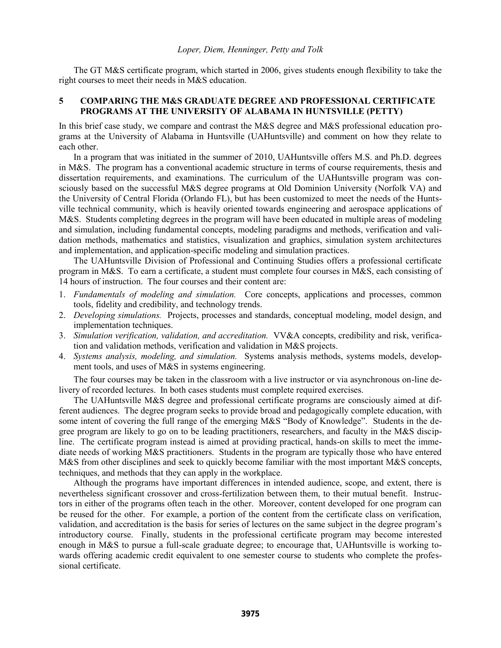The GT M&S certificate program, which started in 2006, gives students enough flexibility to take the right courses to meet their needs in M&S education.

## **5 COMPARING THE M&S GRADUATE DEGREE AND PROFESSIONAL CERTIFICATE PROGRAMS AT THE UNIVERSITY OF ALABAMA IN HUNTSVILLE (PETTY)**

In this brief case study, we compare and contrast the M&S degree and M&S professional education programs at the University of Alabama in Huntsville (UAHuntsville) and comment on how they relate to each other.

In a program that was initiated in the summer of 2010, UAHuntsville offers M.S. and Ph.D. degrees in M&S. The program has a conventional academic structure in terms of course requirements, thesis and dissertation requirements, and examinations. The curriculum of the UAHuntsville program was consciously based on the successful M&S degree programs at Old Dominion University (Norfolk VA) and the University of Central Florida (Orlando FL), but has been customized to meet the needs of the Huntsville technical community, which is heavily oriented towards engineering and aerospace applications of M&S. Students completing degrees in the program will have been educated in multiple areas of modeling and simulation, including fundamental concepts, modeling paradigms and methods, verification and validation methods, mathematics and statistics, visualization and graphics, simulation system architectures and implementation, and application-specific modeling and simulation practices.

The UAHuntsville Division of Professional and Continuing Studies offers a professional certificate program in M&S. To earn a certificate, a student must complete four courses in M&S, each consisting of 14 hours of instruction. The four courses and their content are:

- 1. *Fundamentals of modeling and simulation.* Core concepts, applications and processes, common tools, fidelity and credibility, and technology trends.
- 2. *Developing simulations.* Projects, processes and standards, conceptual modeling, model design, and implementation techniques.
- 3. *Simulation verification, validation, and accreditation.* VV&A concepts, credibility and risk, verification and validation methods, verification and validation in M&S projects.
- 4. *Systems analysis, modeling, and simulation.* Systems analysis methods, systems models, development tools, and uses of M&S in systems engineering.

The four courses may be taken in the classroom with a live instructor or via asynchronous on-line delivery of recorded lectures. In both cases students must complete required exercises.

The UAHuntsville M&S degree and professional certificate programs are consciously aimed at different audiences. The degree program seeks to provide broad and pedagogically complete education, with some intent of covering the full range of the emerging M&S "Body of Knowledge". Students in the degree program are likely to go on to be leading practitioners, researchers, and faculty in the M&S discipline. The certificate program instead is aimed at providing practical, hands-on skills to meet the immediate needs of working M&S practitioners. Students in the program are typically those who have entered M&S from other disciplines and seek to quickly become familiar with the most important M&S concepts, techniques, and methods that they can apply in the workplace.

Although the programs have important differences in intended audience, scope, and extent, there is nevertheless significant crossover and cross-fertilization between them, to their mutual benefit. Instructors in either of the programs often teach in the other. Moreover, content developed for one program can be reused for the other. For example, a portion of the content from the certificate class on verification, validation, and accreditation is the basis for series of lectures on the same subject in the degree program's introductory course. Finally, students in the professional certificate program may become interested enough in M&S to pursue a full-scale graduate degree; to encourage that, UAHuntsville is working towards offering academic credit equivalent to one semester course to students who complete the professional certificate.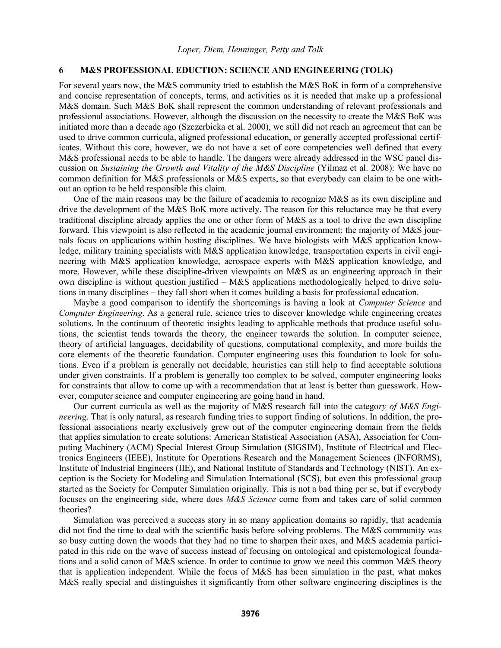## **6 M&S PROFESSIONAL EDUCTION: SCIENCE AND ENGINEERING (TOLK)**

For several years now, the M&S community tried to establish the M&S BoK in form of a comprehensive and concise representation of concepts, terms, and activities as it is needed that make up a professional M&S domain. Such M&S BoK shall represent the common understanding of relevant professionals and professional associations. However, although the discussion on the necessity to create the M&S BoK was initiated more than a decade ago (Szczerbicka et al. 2000), we still did not reach an agreement that can be used to drive common curricula, aligned professional education, or generally accepted professional certificates. Without this core, however, we do not have a set of core competencies well defined that every M&S professional needs to be able to handle. The dangers were already addressed in the WSC panel discussion on *Sustaining the Growth and Vitality of the M&S Discipline* (Yilmaz et al. 2008): We have no common definition for M&S professionals or M&S experts, so that everybody can claim to be one without an option to be held responsible this claim.

One of the main reasons may be the failure of academia to recognize  $M\&S$  as its own discipline and drive the development of the M&S BoK more actively. The reason for this reluctance may be that every traditional discipline already applies the one or other form of M&S as a tool to drive the own discipline forward. This viewpoint is also reflected in the academic journal environment: the majority of M&S journals focus on applications within hosting disciplines. We have biologists with M&S application knowledge, military training specialists with M&S application knowledge, transportation experts in civil engineering with M&S application knowledge, aerospace experts with M&S application knowledge, and more. However, while these discipline-driven viewpoints on M&S as an engineering approach in their own discipline is without question justified – M&S applications methodologically helped to drive solutions in many disciplines – they fall short when it comes building a basis for professional education.

Maybe a good comparison to identify the shortcomings is having a look at *Computer Science* and *Computer Engineering.* As a general rule, science tries to discover knowledge while engineering creates solutions. In the continuum of theoretic insights leading to applicable methods that produce useful solutions, the scientist tends towards the theory, the engineer towards the solution. In computer science, theory of artificial languages, decidability of questions, computational complexity, and more builds the core elements of the theoretic foundation. Computer engineering uses this foundation to look for solutions. Even if a problem is generally not decidable, heuristics can still help to find acceptable solutions under given constraints. If a problem is generally too complex to be solved, computer engineering looks for constraints that allow to come up with a recommendation that at least is better than guesswork. However, computer science and computer engineering are going hand in hand.

Our current curricula as well as the majority of M&S research fall into the catego*ry of M&S Engineering*. That is only natural, as research funding tries to support finding of solutions. In addition, the professional associations nearly exclusively grew out of the computer engineering domain from the fields that applies simulation to create solutions: American Statistical Association (ASA), Association for Computing Machinery (ACM) Special Interest Group Simulation (SIGSIM), Institute of Electrical and Electronics Engineers (IEEE), Institute for Operations Research and the Management Sciences (INFORMS), Institute of Industrial Engineers (IIE), and National Institute of Standards and Technology (NIST). An exception is the Society for Modeling and Simulation International (SCS), but even this professional group started as the Society for Computer Simulation originally. This is not a bad thing per se, but if everybody focuses on the engineering side, where does *M&S Science* come from and takes care of solid common theories?

Simulation was perceived a success story in so many application domains so rapidly, that academia did not find the time to deal with the scientific basis before solving problems. The M&S community was so busy cutting down the woods that they had no time to sharpen their axes, and M&S academia participated in this ride on the wave of success instead of focusing on ontological and epistemological foundations and a solid canon of M&S science. In order to continue to grow we need this common M&S theory that is application independent. While the focus of M&S has been simulation in the past, what makes M&S really special and distinguishes it significantly from other software engineering disciplines is the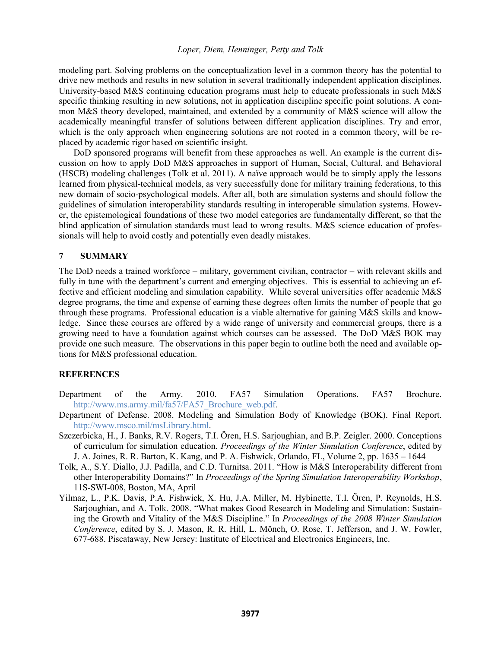modeling part. Solving problems on the conceptualization level in a common theory has the potential to drive new methods and results in new solution in several traditionally independent application disciplines. University-based M&S continuing education programs must help to educate professionals in such M&S specific thinking resulting in new solutions, not in application discipline specific point solutions. A common M&S theory developed, maintained, and extended by a community of M&S science will allow the academically meaningful transfer of solutions between different application disciplines. Try and error, which is the only approach when engineering solutions are not rooted in a common theory, will be replaced by academic rigor based on scientific insight.

DoD sponsored programs will benefit from these approaches as well. An example is the current discussion on how to apply DoD M&S approaches in support of Human, Social, Cultural, and Behavioral (HSCB) modeling challenges (Tolk et al. 2011). A naïve approach would be to simply apply the lessons learned from physical-technical models, as very successfully done for military training federations, to this new domain of socio-psychological models. After all, both are simulation systems and should follow the guidelines of simulation interoperability standards resulting in interoperable simulation systems. However, the epistemological foundations of these two model categories are fundamentally different, so that the blind application of simulation standards must lead to wrong results. M&S science education of professionals will help to avoid costly and potentially even deadly mistakes.

## **7 SUMMARY**

The DoD needs a trained workforce – military, government civilian, contractor – with relevant skills and fully in tune with the department's current and emerging objectives. This is essential to achieving an effective and efficient modeling and simulation capability. While several universities offer academic M&S degree programs, the time and expense of earning these degrees often limits the number of people that go through these programs. Professional education is a viable alternative for gaining M&S skills and knowledge. Since these courses are offered by a wide range of university and commercial groups, there is a growing need to have a foundation against which courses can be assessed. The DoD M&S BOK may provide one such measure. The observations in this paper begin to outline both the need and available options for M&S professional education.

## **REFERENCES**

- Department of the Army. 2010. FA57 Simulation Operations. FA57 Brochure. http://www.ms.army.mil/fa57/FA57\_Brochure\_web.pdf.
- Department of Defense. 2008. Modeling and Simulation Body of Knowledge (BOK). Final Report. http://www.msco.mil/msLibrary.html.
- Szczerbicka, H., J. Banks, R.V. Rogers, T.I. Ören, H.S. Sarjoughian, and B.P. Zeigler. 2000. Conceptions of curriculum for simulation education. *Proceedings of the Winter Simulation Conference*, edited by J. A. Joines, R. R. Barton, K. Kang, and P. A. Fishwick, Orlando, FL, Volume 2, pp. 1635 – 1644
- Tolk, A., S.Y. Diallo, J.J. Padilla, and C.D. Turnitsa. 2011. "How is M&S Interoperability different from other Interoperability Domains?" In *Proceedings of the Spring Simulation Interoperability Workshop*, 11S-SWI-008, Boston, MA, April
- Yilmaz, L., P.K. Davis, P.A. Fishwick, X. Hu, J.A. Miller, M. Hybinette, T.I. Ören, P. Reynolds, H.S. Sarjoughian, and A. Tolk. 2008. "What makes Good Research in Modeling and Simulation: Sustaining the Growth and Vitality of the M&S Discipline." In *Proceedings of the 2008 Winter Simulation Conference*, edited by S. J. Mason, R. R. Hill, L. Mönch, O. Rose, T. Jefferson, and J. W. Fowler, 677-688. Piscataway, New Jersey: Institute of Electrical and Electronics Engineers, Inc.